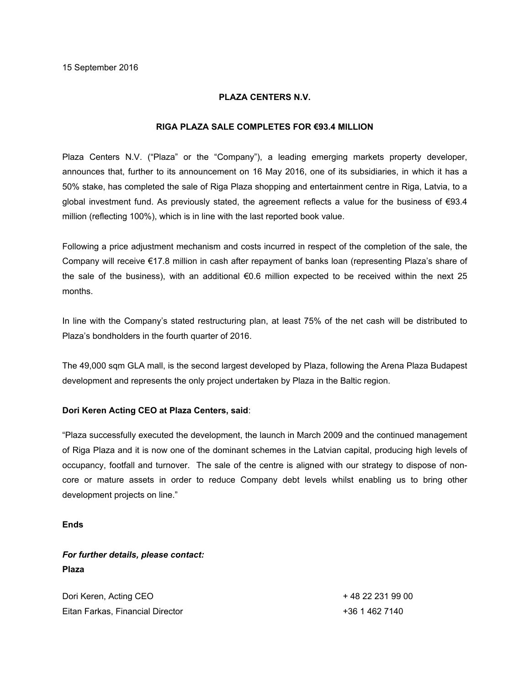## **PLAZA CENTERS N.V.**

#### **RIGA PLAZA SALE COMPLETES FOR €93.4 MILLION**

Plaza Centers N.V. ("Plaza" or the "Company"), a leading emerging markets property developer, announces that, further to its announcement on 16 May 2016, one of its subsidiaries, in which it has a 50% stake, has completed the sale of Riga Plaza shopping and entertainment centre in Riga, Latvia, to a global investment fund. As previously stated, the agreement reflects a value for the business of  $\epsilon$ 93.4 million (reflecting 100%), which is in line with the last reported book value.

Following a price adjustment mechanism and costs incurred in respect of the completion of the sale, the Company will receive €17.8 million in cash after repayment of banks loan (representing Plaza's share of the sale of the business), with an additional €0.6 million expected to be received within the next 25 months.

In line with the Company's stated restructuring plan, at least 75% of the net cash will be distributed to Plaza's bondholders in the fourth quarter of 2016.

The 49,000 sqm GLA mall, is the second largest developed by Plaza, following the Arena Plaza Budapest development and represents the only project undertaken by Plaza in the Baltic region.

# **Dori Keren Acting CEO at Plaza Centers, said**:

"Plaza successfully executed the development, the launch in March 2009 and the continued management of Riga Plaza and it is now one of the dominant schemes in the Latvian capital, producing high levels of occupancy, footfall and turnover. The sale of the centre is aligned with our strategy to dispose of noncore or mature assets in order to reduce Company debt levels whilst enabling us to bring other development projects on line."

**Ends**

# *For further details, please contact:* **Plaza**

| Dori Keren, Acting CEO           | + 48 22 231 99 00 |
|----------------------------------|-------------------|
| Eitan Farkas, Financial Director | +36 1 462 7140    |